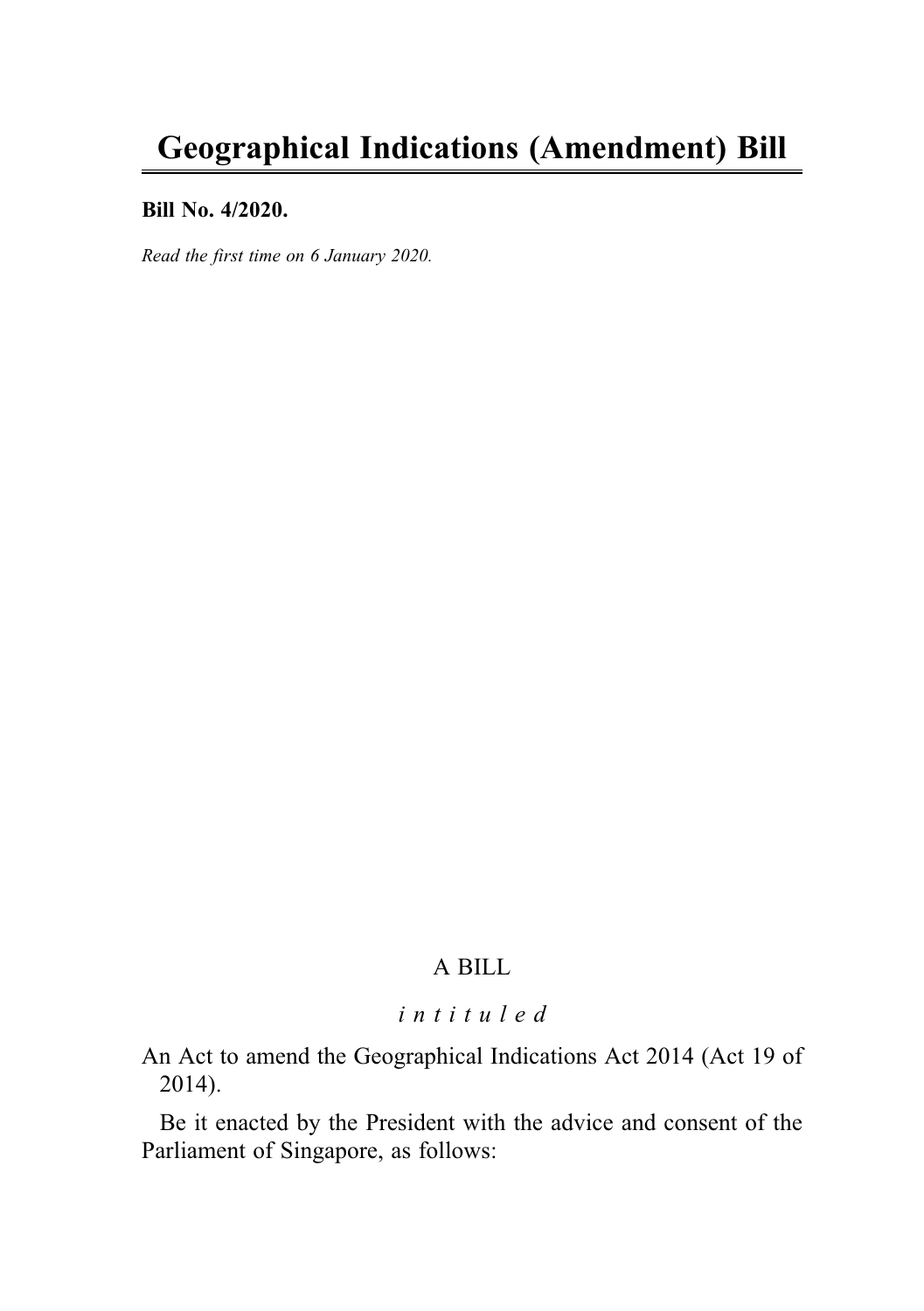# Geographical Indications (Amendment) Bill

#### Bill No. 4/2020.

Read the first time on 6 January 2020.

### A BILL

### intituled

An Act to amend the Geographical Indications Act 2014 (Act 19 of 2014).

Be it enacted by the President with the advice and consent of the Parliament of Singapore, as follows: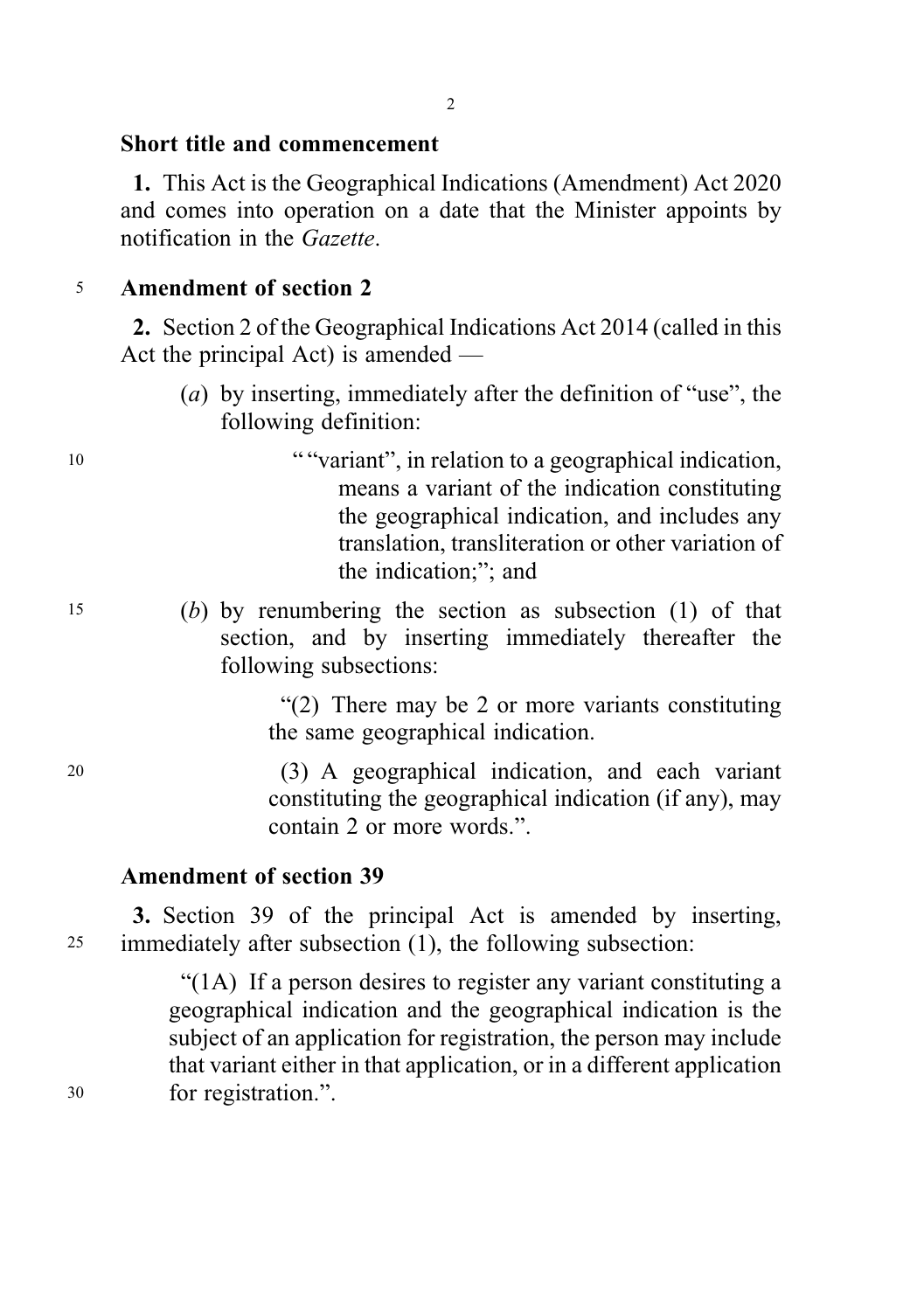#### 2

#### Short title and commencement

1. This Act is the Geographical Indications (Amendment) Act 2020 and comes into operation on a date that the Minister appoints by notification in the Gazette.

### <sup>5</sup> Amendment of section 2

2. Section 2 of the Geographical Indications Act 2014 (called in this Act the principal Act) is amended —

- (a) by inserting, immediately after the definition of "use", the following definition:
- <sup>10</sup> " "variant", in relation to a geographical indication, means a variant of the indication constituting the geographical indication, and includes any translation, transliteration or other variation of the indication;"; and
- <sup>15</sup> (b) by renumbering the section as subsection (1) of that section, and by inserting immediately thereafter the following subsections:

"(2) There may be 2 or more variants constituting the same geographical indication.

<sup>20</sup> (3) A geographical indication, and each variant constituting the geographical indication (if any), may contain 2 or more words.".

### Amendment of section 39

3. Section 39 of the principal Act is amended by inserting, <sup>25</sup> immediately after subsection (1), the following subsection:

"(1A) If a person desires to register any variant constituting a geographical indication and the geographical indication is the subject of an application for registration, the person may include that variant either in that application, or in a different application <sup>30</sup> for registration.".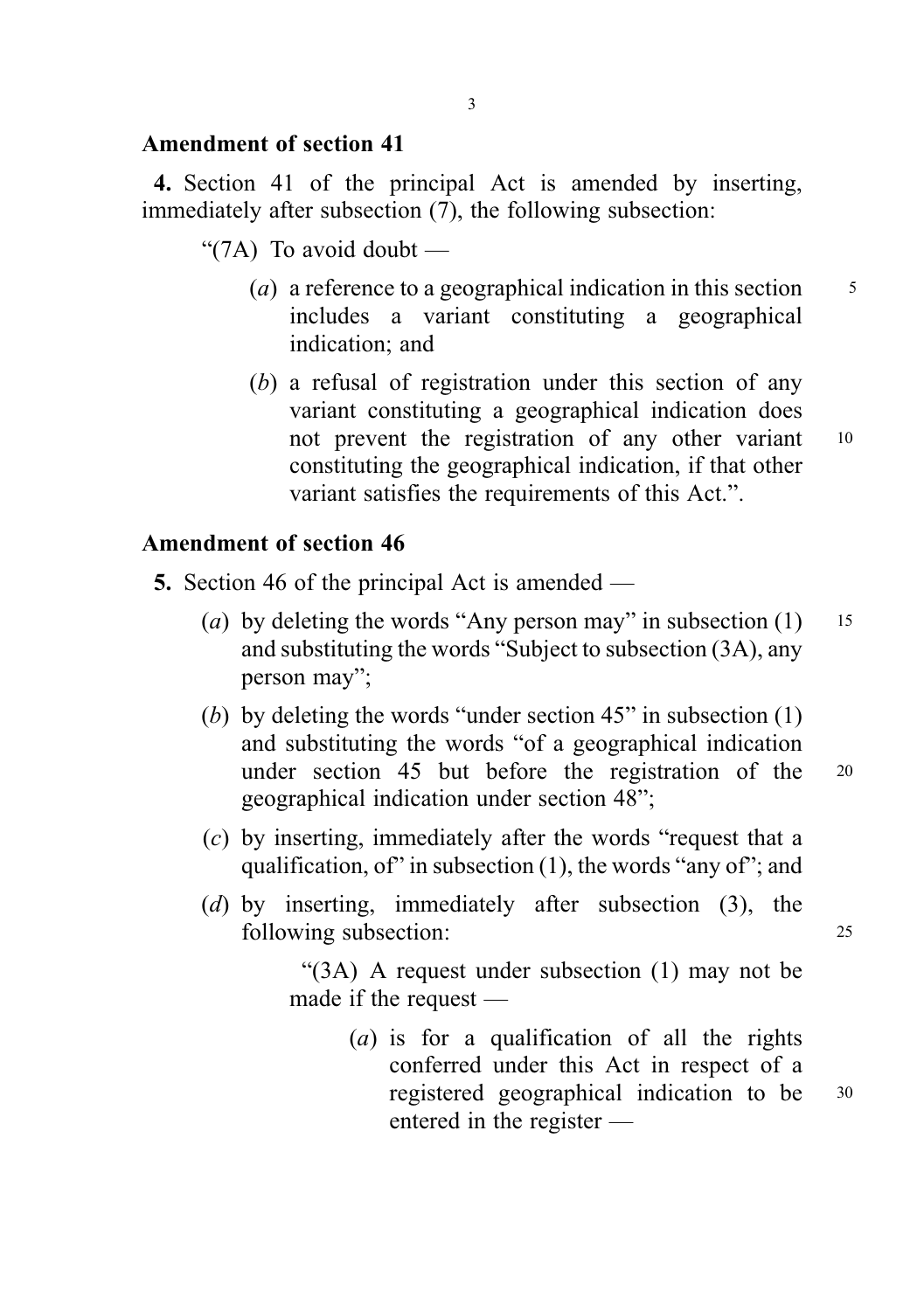### Amendment of section 41

4. Section 41 of the principal Act is amended by inserting, immediately after subsection (7), the following subsection:

- " $(7A)$  To avoid doubt
	- (a) a reference to a geographical indication in this section  $\frac{5}{5}$ includes a variant constituting a geographical indication; and
	- (b) a refusal of registration under this section of any variant constituting a geographical indication does not prevent the registration of any other variant 10 constituting the geographical indication, if that other variant satisfies the requirements of this Act.".

## Amendment of section 46

- 5. Section 46 of the principal Act is amended
	- (a) by deleting the words "Any person may" in subsection  $(1)$  15 and substituting the words "Subject to subsection (3A), any person may";
	- (b) by deleting the words "under section 45" in subsection (1) and substituting the words "of a geographical indication under section 45 but before the registration of the <sup>20</sup> geographical indication under section 48";
	- (c) by inserting, immediately after the words "request that a qualification, of" in subsection (1), the words "any of"; and
	- (d) by inserting, immediately after subsection (3), the following subsection: 25

"(3A) A request under subsection (1) may not be made if the request —

> (a) is for a qualification of all the rights conferred under this Act in respect of a registered geographical indication to be <sup>30</sup> entered in the register —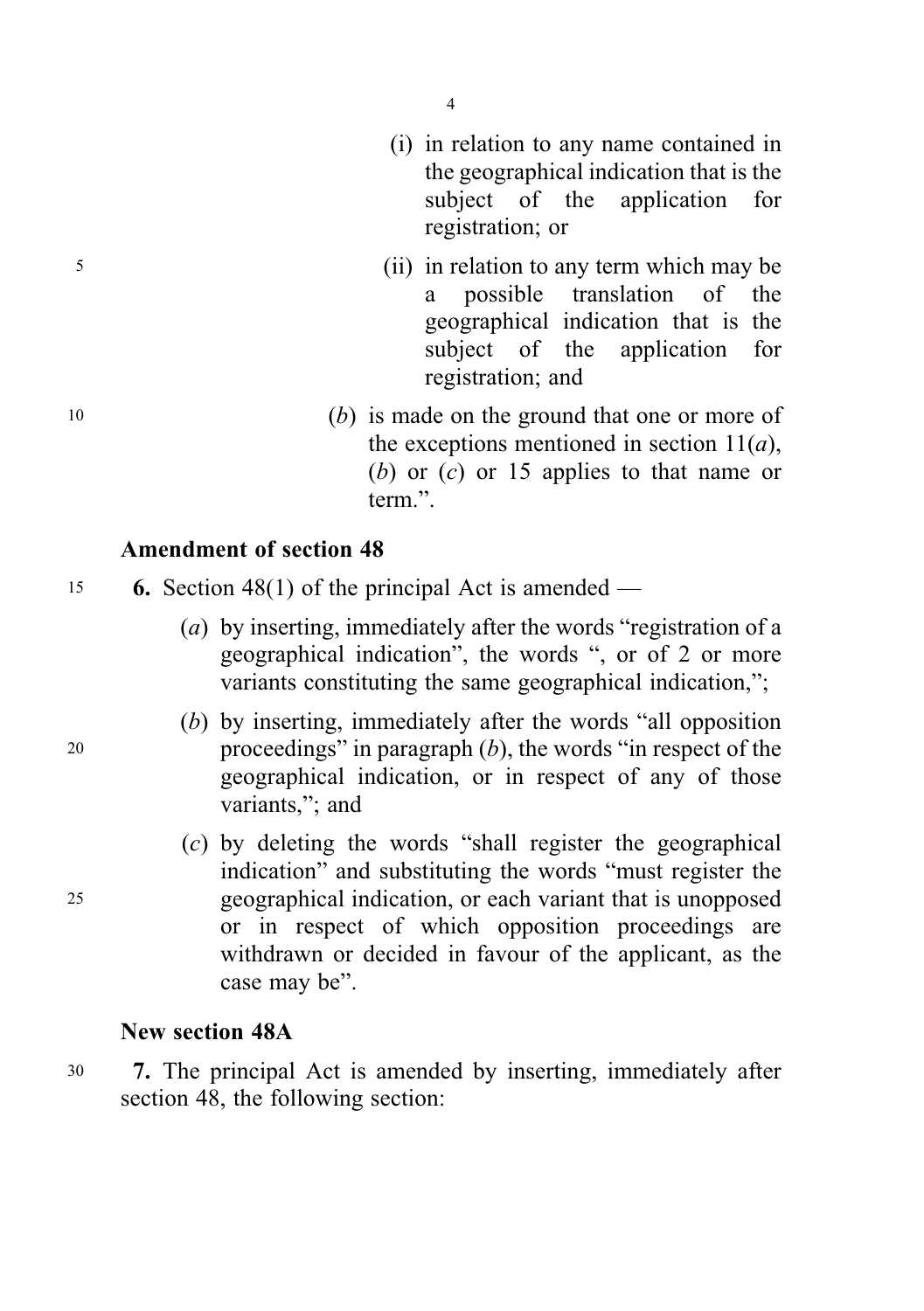4

- (i) in relation to any name contained in the geographical indication that is the subject of the application for registration; or
- <sup>5</sup> (ii) in relation to any term which may be a possible translation of the geographical indication that is the subject of the application for registration; and
- <sup>10</sup> (b) is made on the ground that one or more of the exceptions mentioned in section  $11(a)$ , (b) or  $(c)$  or 15 applies to that name or term.".

#### Amendment of section 48

15 6. Section 48(1) of the principal Act is amended —

- (a) by inserting, immediately after the words "registration of a geographical indication", the words ", or of 2 or more variants constituting the same geographical indication,";
- (b) by inserting, immediately after the words "all opposition 20 proceedings" in paragraph  $(b)$ , the words "in respect of the geographical indication, or in respect of any of those variants,"; and
- (c) by deleting the words "shall register the geographical indication" and substituting the words "must register the <sup>25</sup> geographical indication, or each variant that is unopposed or in respect of which opposition proceedings are withdrawn or decided in favour of the applicant, as the case may be".

### New section 48A

<sup>30</sup> 7. The principal Act is amended by inserting, immediately after section 48, the following section: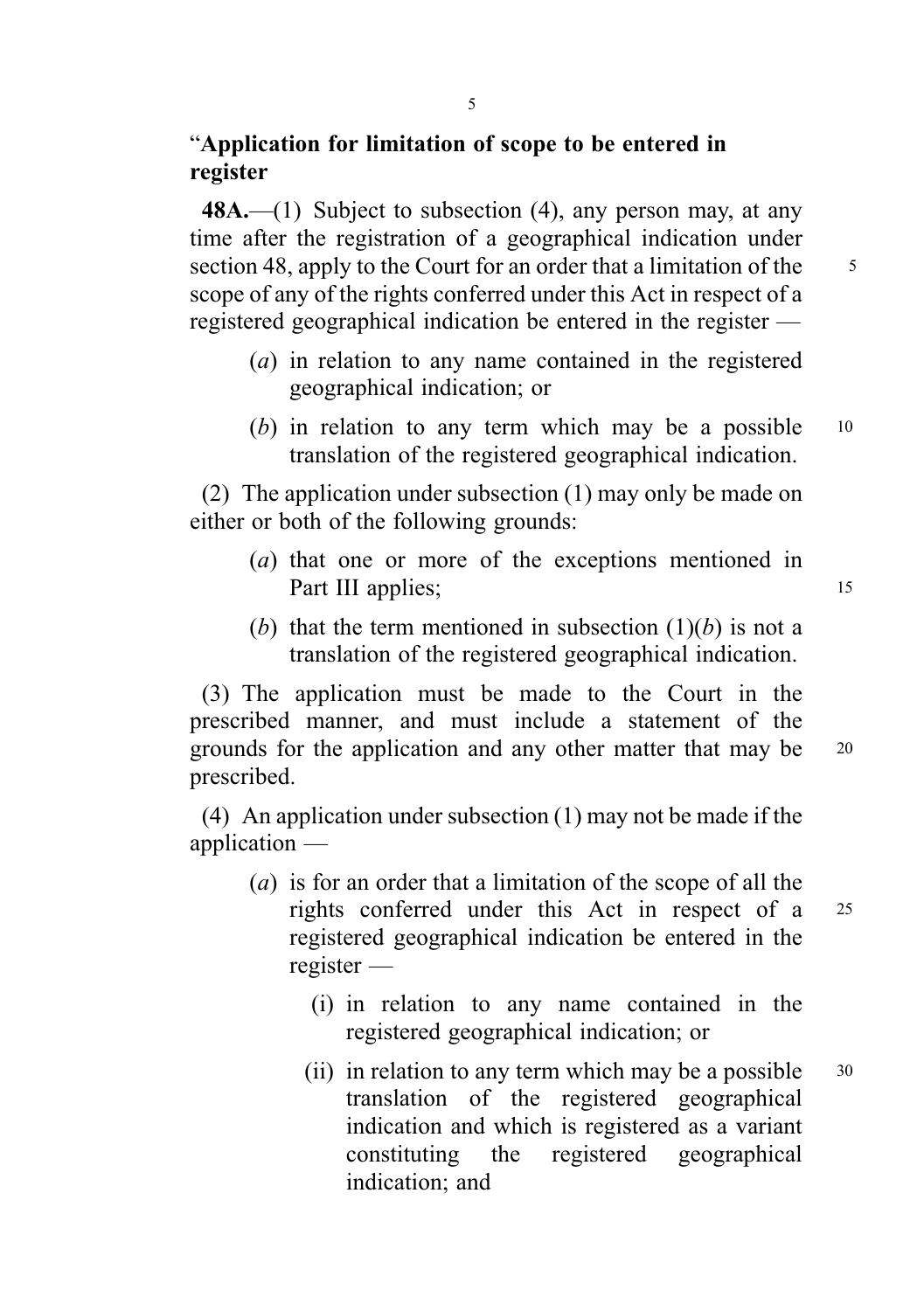### "Application for limitation of scope to be entered in register

48A.—(1) Subject to subsection (4), any person may, at any time after the registration of a geographical indication under section 48, apply to the Court for an order that a limitation of the  $\frac{5}{5}$ scope of any of the rights conferred under this Act in respect of a registered geographical indication be entered in the register —

- (a) in relation to any name contained in the registered geographical indication; or
- (b) in relation to any term which may be a possible  $10$ translation of the registered geographical indication.

(2) The application under subsection (1) may only be made on either or both of the following grounds:

- (a) that one or more of the exceptions mentioned in Part III applies; 15
- (b) that the term mentioned in subsection  $(1)(b)$  is not a translation of the registered geographical indication.

(3) The application must be made to the Court in the prescribed manner, and must include a statement of the grounds for the application and any other matter that may be <sup>20</sup> prescribed.

(4) An application under subsection (1) may not be made if the application —

- (a) is for an order that a limitation of the scope of all the rights conferred under this Act in respect of a <sup>25</sup> registered geographical indication be entered in the register —
	- (i) in relation to any name contained in the registered geographical indication; or
	- (ii) in relation to any term which may be a possible  $30$ translation of the registered geographical indication and which is registered as a variant constituting the registered geographical indication; and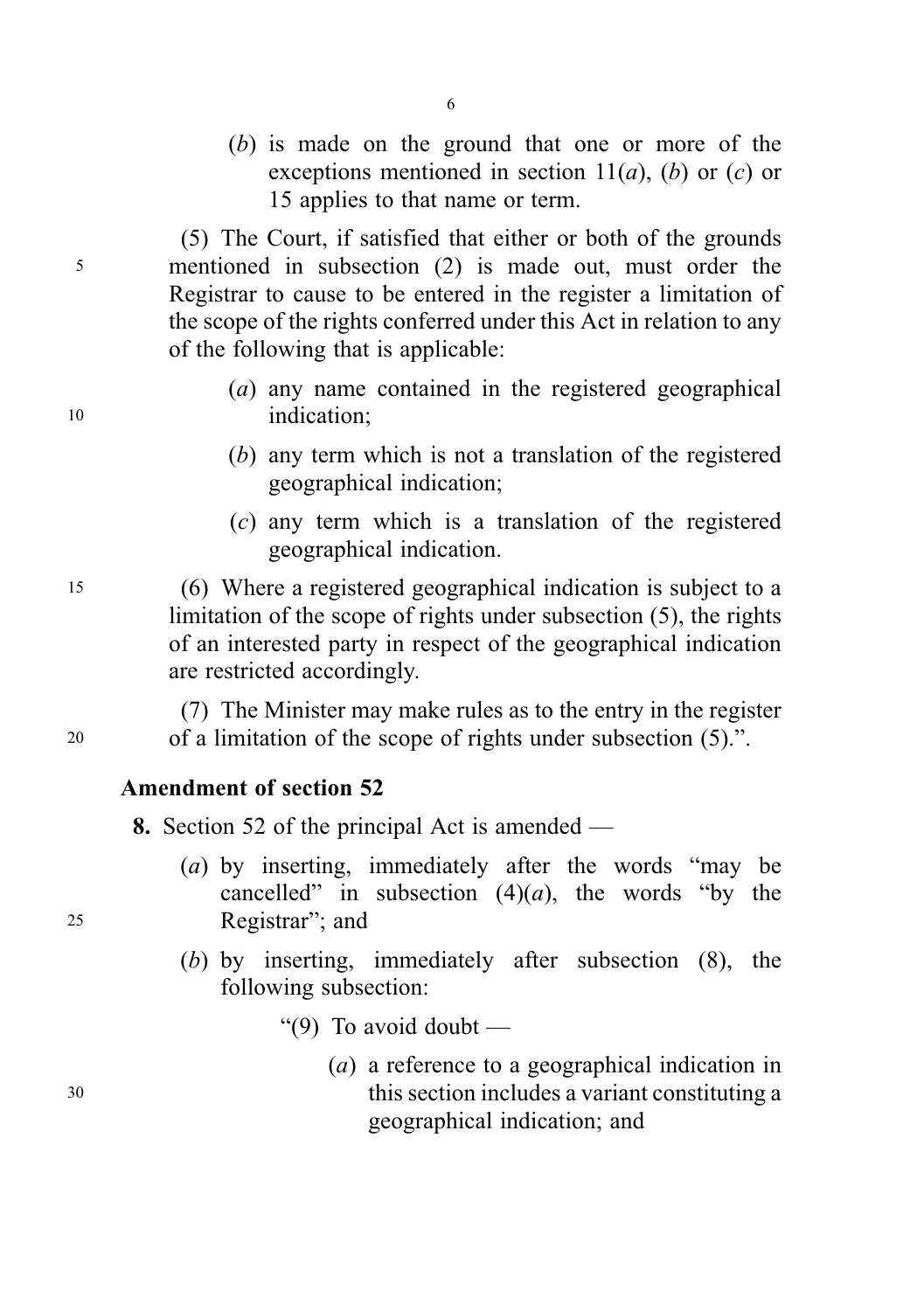(b) is made on the ground that one or more of the exceptions mentioned in section  $11(a)$ , (b) or (c) or 15 applies to that name or term.

(5) The Court, if satisfied that either or both of the grounds <sup>5</sup> mentioned in subsection (2) is made out, must order the Registrar to cause to be entered in the register a limitation of the scope of the rights conferred under this Act in relation to any of the following that is applicable:

- (a) any name contained in the registered geographical 10 indication:
	- (b) any term which is not a translation of the registered geographical indication;
	- (c) any term which is a translation of the registered geographical indication.

<sup>15</sup> (6) Where a registered geographical indication is subject to a limitation of the scope of rights under subsection (5), the rights of an interested party in respect of the geographical indication are restricted accordingly.

(7) The Minister may make rules as to the entry in the register <sup>20</sup> of a limitation of the scope of rights under subsection (5).".

### Amendment of section 52

8. Section 52 of the principal Act is amended —

- (a) by inserting, immediately after the words "may be cancelled" in subsection  $(4)(a)$ , the words "by the <sup>25</sup> Registrar"; and
	- (b) by inserting, immediately after subsection (8), the following subsection:
		- "(9) To avoid doubt  $-$
- (a) a reference to a geographical indication in <sup>30</sup> this section includes a variant constituting a geographical indication; and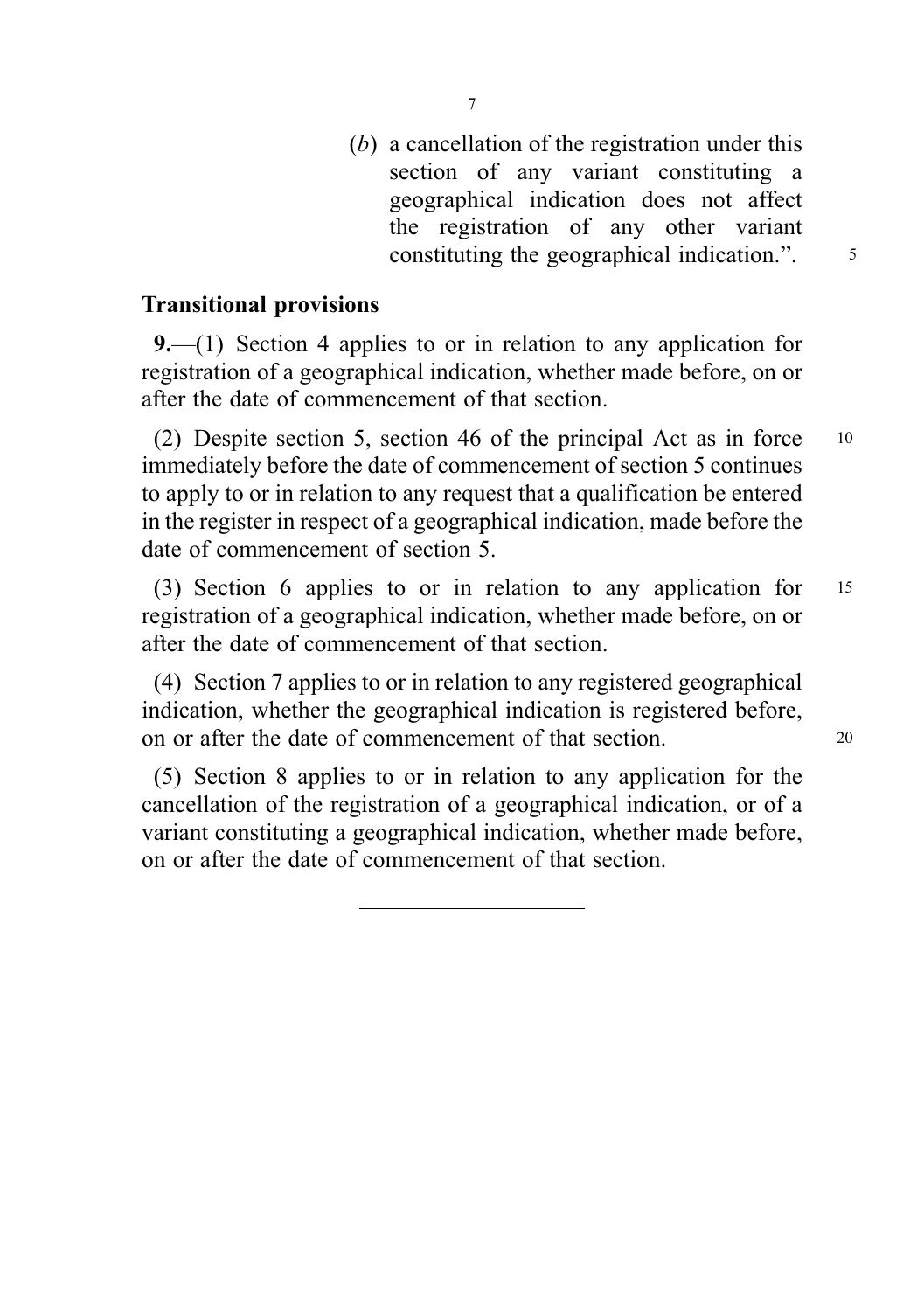(b) a cancellation of the registration under this section of any variant constituting a geographical indication does not affect the registration of any other variant constituting the geographical indication.".  $\frac{5}{10}$ 

### Transitional provisions

9.—(1) Section 4 applies to or in relation to any application for registration of a geographical indication, whether made before, on or after the date of commencement of that section.

(2) Despite section 5, section 46 of the principal Act as in force <sup>10</sup> immediately before the date of commencement of section 5 continues to apply to or in relation to any request that a qualification be entered in the register in respect of a geographical indication, made before the date of commencement of section 5.

(3) Section 6 applies to or in relation to any application for <sup>15</sup> registration of a geographical indication, whether made before, on or after the date of commencement of that section.

(4) Section 7 applies to or in relation to any registered geographical indication, whether the geographical indication is registered before, on or after the date of commencement of that section. <sup>20</sup>

(5) Section 8 applies to or in relation to any application for the cancellation of the registration of a geographical indication, or of a variant constituting a geographical indication, whether made before, on or after the date of commencement of that section.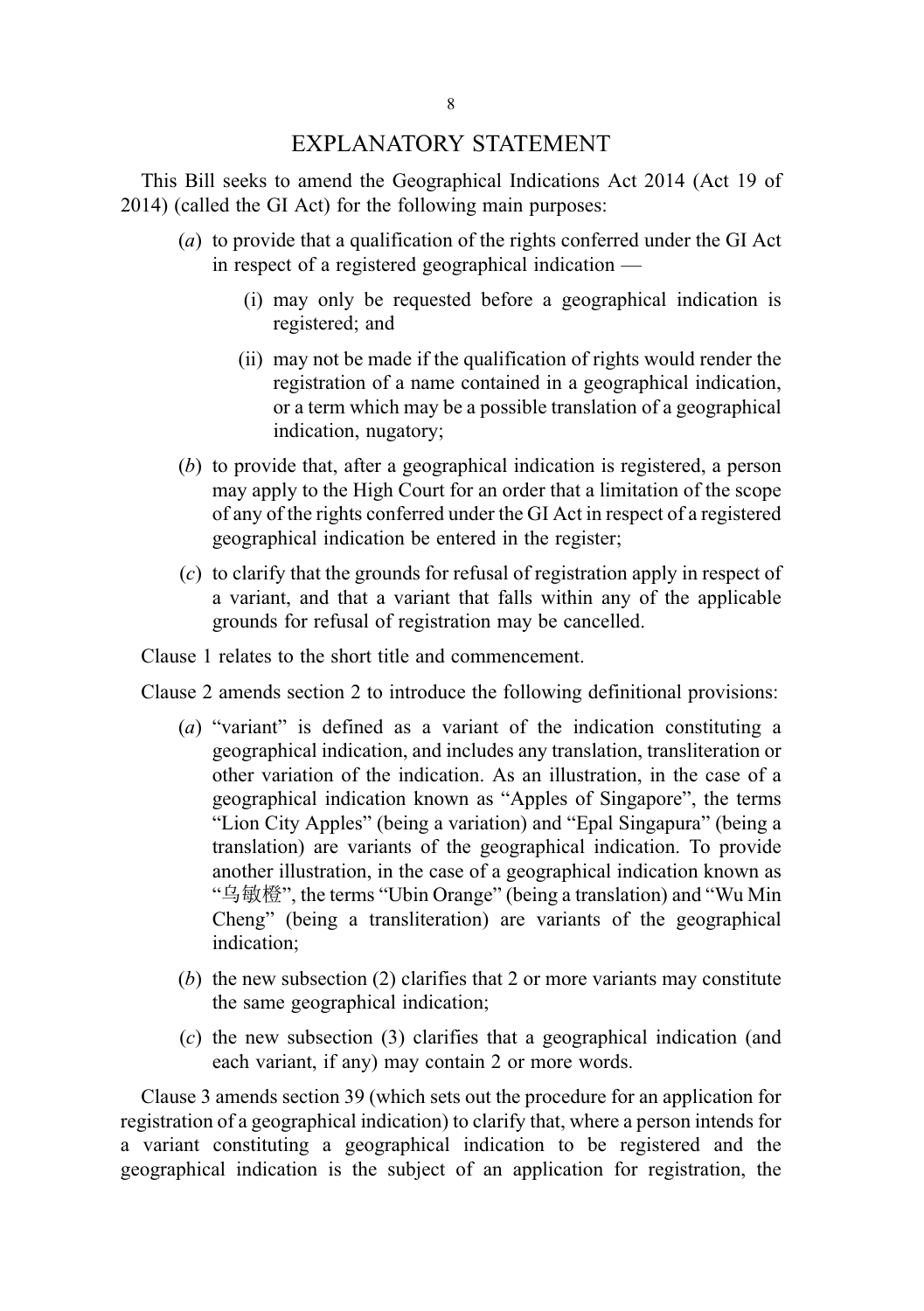#### EXPLANATORY STATEMENT

This Bill seeks to amend the Geographical Indications Act 2014 (Act 19 of 2014) (called the GI Act) for the following main purposes:

- (a) to provide that a qualification of the rights conferred under the GI Act in respect of a registered geographical indication —
	- (i) may only be requested before a geographical indication is registered; and
	- (ii) may not be made if the qualification of rights would render the registration of a name contained in a geographical indication, or a term which may be a possible translation of a geographical indication, nugatory;
- (b) to provide that, after a geographical indication is registered, a person may apply to the High Court for an order that a limitation of the scope of any of the rights conferred under the GI Act in respect of a registered geographical indication be entered in the register;
- (c) to clarify that the grounds for refusal of registration apply in respect of a variant, and that a variant that falls within any of the applicable grounds for refusal of registration may be cancelled.

Clause 1 relates to the short title and commencement.

Clause 2 amends section 2 to introduce the following definitional provisions:

- (a) "variant" is defined as a variant of the indication constituting a geographical indication, and includes any translation, transliteration or other variation of the indication. As an illustration, in the case of a geographical indication known as "Apples of Singapore", the terms "Lion City Apples" (being a variation) and "Epal Singapura" (being a translation) are variants of the geographical indication. To provide another illustration, in the case of a geographical indication known as "乌敏橙", the terms "Ubin Orange" (being a translation) and "Wu Min Cheng" (being a transliteration) are variants of the geographical indication;
- (b) the new subsection (2) clarifies that 2 or more variants may constitute the same geographical indication;
- (c) the new subsection (3) clarifies that a geographical indication (and each variant, if any) may contain 2 or more words.

Clause 3 amends section 39 (which sets out the procedure for an application for registration of a geographical indication) to clarify that, where a person intends for a variant constituting a geographical indication to be registered and the geographical indication is the subject of an application for registration, the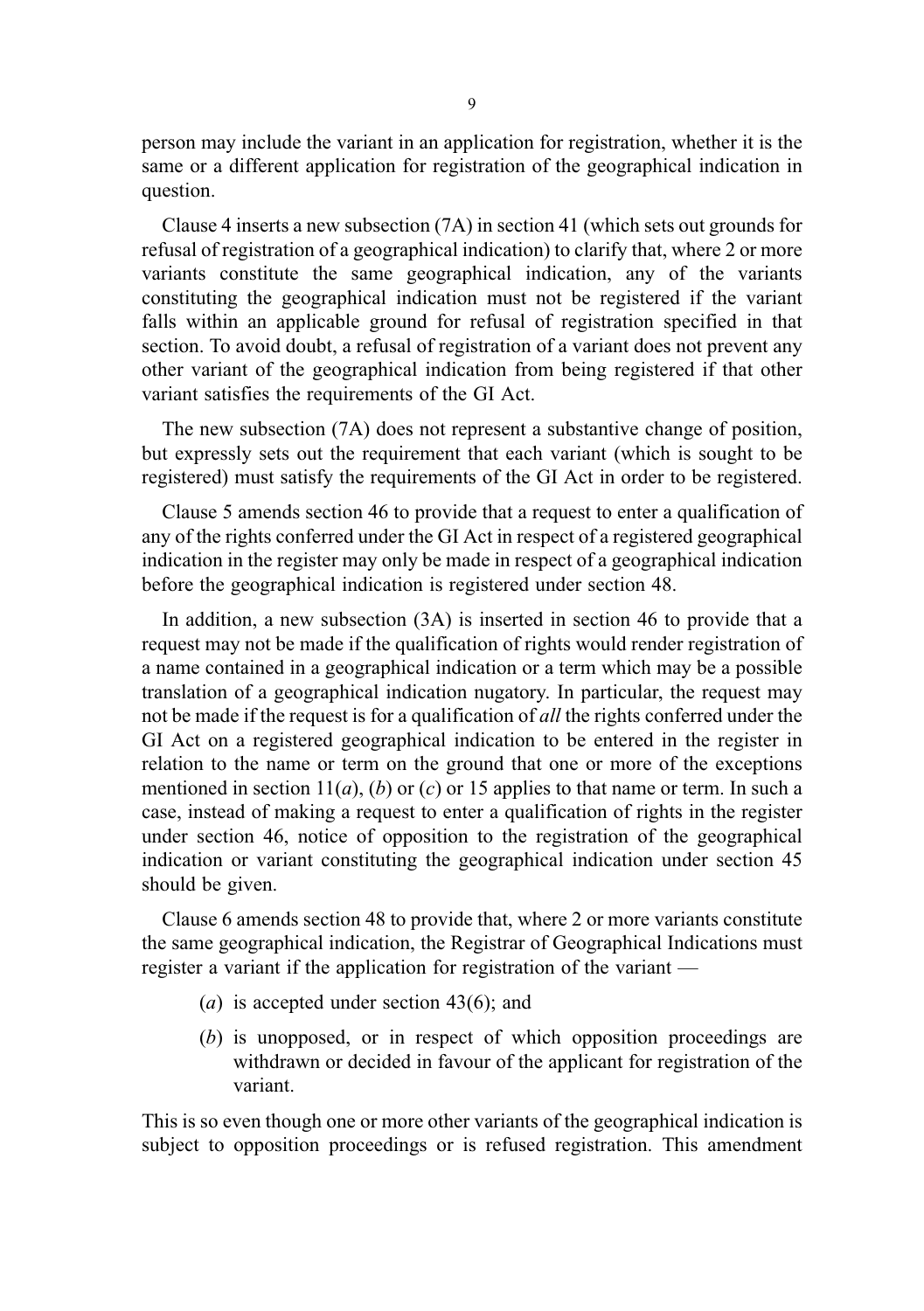person may include the variant in an application for registration, whether it is the same or a different application for registration of the geographical indication in question.

Clause 4 inserts a new subsection (7A) in section 41 (which sets out grounds for refusal of registration of a geographical indication) to clarify that, where 2 or more variants constitute the same geographical indication, any of the variants constituting the geographical indication must not be registered if the variant falls within an applicable ground for refusal of registration specified in that section. To avoid doubt, a refusal of registration of a variant does not prevent any other variant of the geographical indication from being registered if that other variant satisfies the requirements of the GI Act.

The new subsection (7A) does not represent a substantive change of position, but expressly sets out the requirement that each variant (which is sought to be registered) must satisfy the requirements of the GI Act in order to be registered.

Clause 5 amends section 46 to provide that a request to enter a qualification of any of the rights conferred under the GI Act in respect of a registered geographical indication in the register may only be made in respect of a geographical indication before the geographical indication is registered under section 48.

In addition, a new subsection (3A) is inserted in section 46 to provide that a request may not be made if the qualification of rights would render registration of a name contained in a geographical indication or a term which may be a possible translation of a geographical indication nugatory. In particular, the request may not be made if the request is for a qualification of all the rights conferred under the GI Act on a registered geographical indication to be entered in the register in relation to the name or term on the ground that one or more of the exceptions mentioned in section  $11(a)$ , (b) or (c) or 15 applies to that name or term. In such a case, instead of making a request to enter a qualification of rights in the register under section 46, notice of opposition to the registration of the geographical indication or variant constituting the geographical indication under section 45 should be given.

Clause 6 amends section 48 to provide that, where 2 or more variants constitute the same geographical indication, the Registrar of Geographical Indications must register a variant if the application for registration of the variant —

- (a) is accepted under section  $43(6)$ ; and
- (b) is unopposed, or in respect of which opposition proceedings are withdrawn or decided in favour of the applicant for registration of the variant.

This is so even though one or more other variants of the geographical indication is subject to opposition proceedings or is refused registration. This amendment